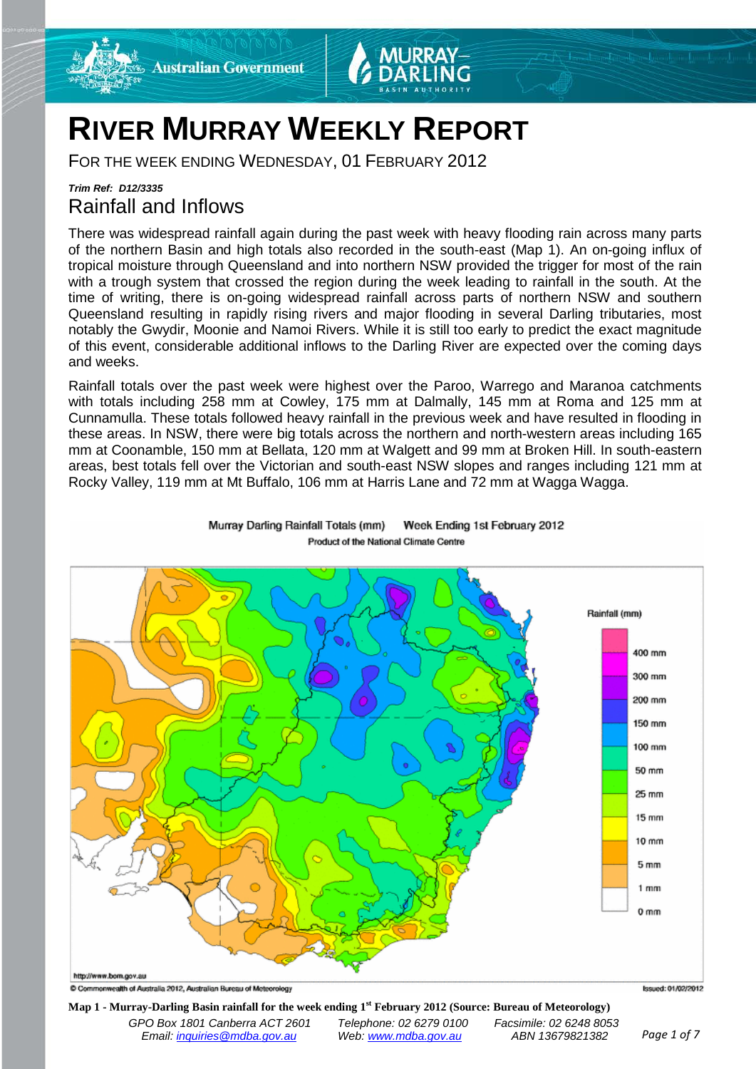



# **RIVER MURRAY WEEKLY REPORT**

FOR THE WEEK ENDING WEDNESDAY, 01 FEBRUARY 2012

## *Trim Ref: D12/3335* Rainfall and Inflows

There was widespread rainfall again during the past week with heavy flooding rain across many parts of the northern Basin and high totals also recorded in the south-east (Map 1). An on-going influx of tropical moisture through Queensland and into northern NSW provided the trigger for most of the rain with a trough system that crossed the region during the week leading to rainfall in the south. At the time of writing, there is on-going widespread rainfall across parts of northern NSW and southern Queensland resulting in rapidly rising rivers and major flooding in several Darling tributaries, most notably the Gwydir, Moonie and Namoi Rivers. While it is still too early to predict the exact magnitude of this event, considerable additional inflows to the Darling River are expected over the coming days and weeks.

Rainfall totals over the past week were highest over the Paroo, Warrego and Maranoa catchments with totals including 258 mm at Cowley, 175 mm at Dalmally, 145 mm at Roma and 125 mm at Cunnamulla. These totals followed heavy rainfall in the previous week and have resulted in flooding in these areas. In NSW, there were big totals across the northern and north-western areas including 165 mm at Coonamble, 150 mm at Bellata, 120 mm at Walgett and 99 mm at Broken Hill. In south-eastern areas, best totals fell over the Victorian and south-east NSW slopes and ranges including 121 mm at Rocky Valley, 119 mm at Mt Buffalo, 106 mm at Harris Lane and 72 mm at Wagga Wagga.



Murray Darling Rainfall Totals (mm) Week Ending 1st February 2012 Product of the National Climate Centre

C Commonwealth of Australia 2012, Australian Bureau of Meteorology

**Map 1 - Murray-Darling Basin rainfall for the week ending 1st February 2012 (Source: Bureau of Meteorology)**

*GPO Box 1801 Canberra ACT 2601 Telephone: 02 6279 0100 Facsimile: 02 6248 8053 Email: [inquiries@mdba.gov.au](mailto:inquiries@mdba.gov.au) Web[: www.mdba.gov.au](http://www.mdba.gov.au/) ABN 13679821382 Page 1 of 7*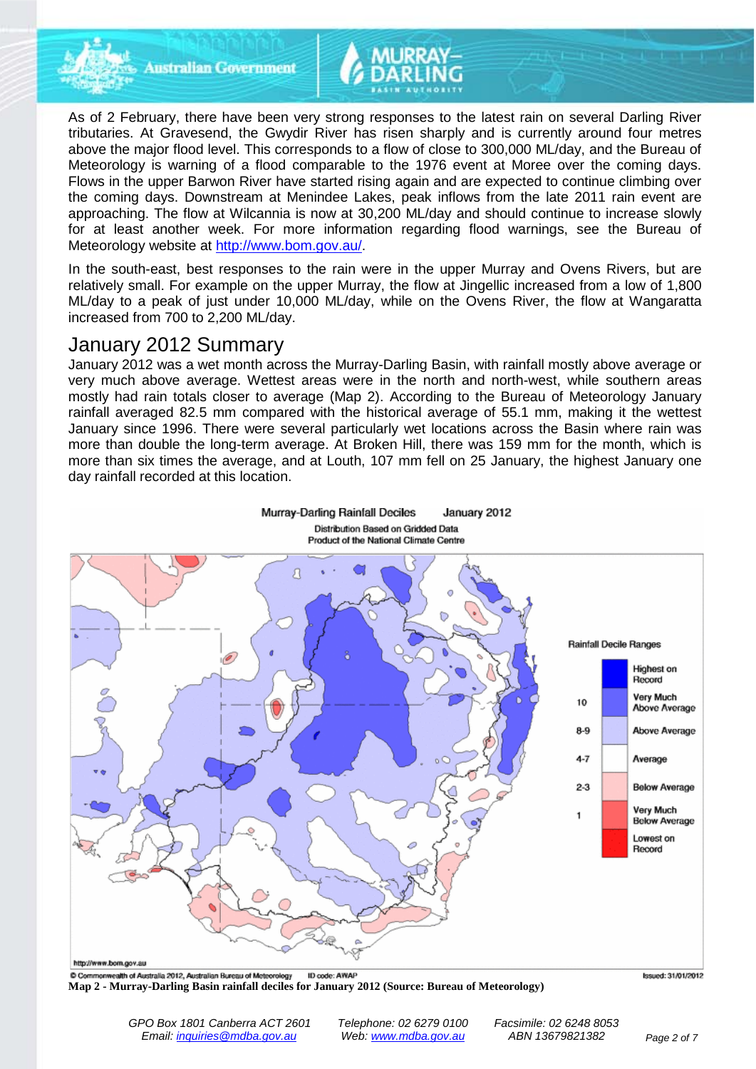

**Australian Government** 

As of 2 February, there have been very strong responses to the latest rain on several Darling River tributaries. At Gravesend, the Gwydir River has risen sharply and is currently around four metres above the major flood level. This corresponds to a flow of close to 300,000 ML/day, and the Bureau of Meteorology is warning of a flood comparable to the 1976 event at Moree over the coming days. Flows in the upper Barwon River have started rising again and are expected to continue climbing over the coming days. Downstream at Menindee Lakes, peak inflows from the late 2011 rain event are approaching. The flow at Wilcannia is now at 30,200 ML/day and should continue to increase slowly for at least another week. For more information regarding flood warnings, see the Bureau of Meteorology website at [http://www.bom.gov.au/.](http://www.bom.gov.au/)

In the south-east, best responses to the rain were in the upper Murray and Ovens Rivers, but are relatively small. For example on the upper Murray, the flow at Jingellic increased from a low of 1,800 ML/day to a peak of just under 10,000 ML/day, while on the Ovens River, the flow at Wangaratta increased from 700 to 2,200 ML/day.

# January 2012 Summary

January 2012 was a wet month across the Murray-Darling Basin, with rainfall mostly above average or very much above average. Wettest areas were in the north and north-west, while southern areas mostly had rain totals closer to average (Map 2). According to the Bureau of Meteorology January rainfall averaged 82.5 mm compared with the historical average of 55.1 mm, making it the wettest January since 1996. There were several particularly wet locations across the Basin where rain was more than double the long-term average. At Broken Hill, there was 159 mm for the month, which is more than six times the average, and at Louth, 107 mm fell on 25 January, the highest January one day rainfall recorded at this location.

**Distribution Based on Gridded Data** 

January 2012

Murray-Darling Rainfall Deciles



C Commonwealth of Australia 2012, Australian Bureau of Meteorology ID code: AWAP **Map 2 - Murray-Darling Basin rainfall deciles for January 2012 (Source: Bureau of Meteorology)**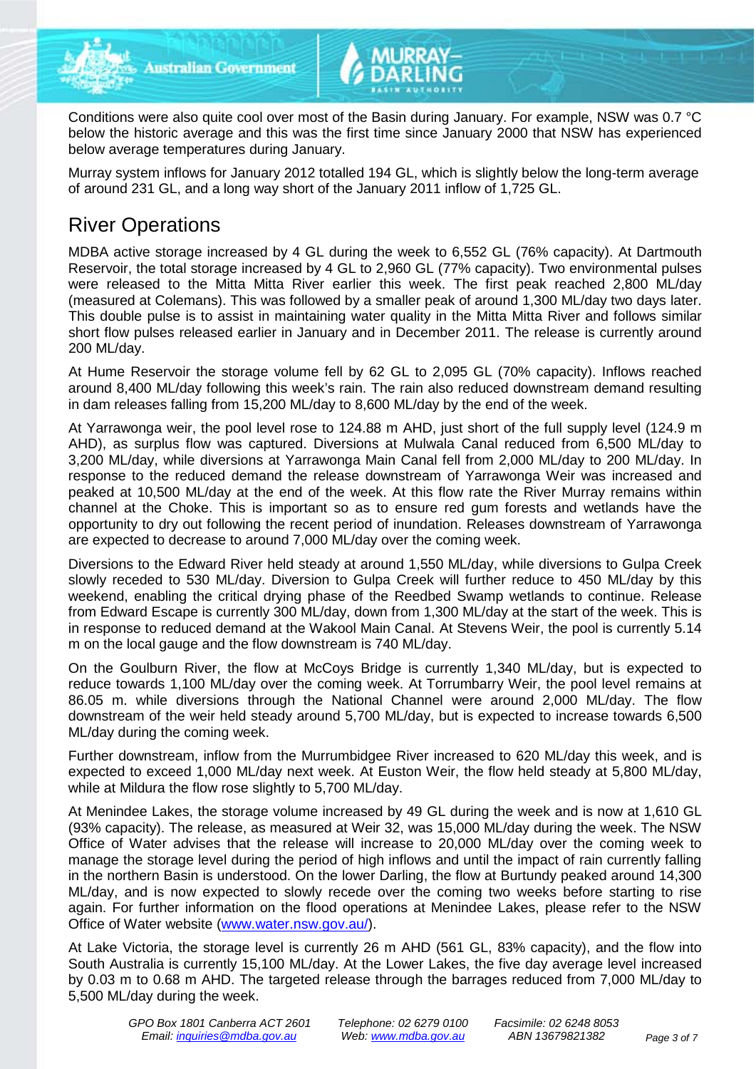

Conditions were also quite cool over most of the Basin during January. For example, NSW was 0.7 °C below the historic average and this was the first time since January 2000 that NSW has experienced below average temperatures during January.

Murray system inflows for January 2012 totalled 194 GL, which is slightly below the long-term average of around 231 GL, and a long way short of the January 2011 inflow of 1,725 GL.

# River Operations

MDBA active storage increased by 4 GL during the week to 6,552 GL (76% capacity). At Dartmouth Reservoir, the total storage increased by 4 GL to 2,960 GL (77% capacity). Two environmental pulses were released to the Mitta Mitta River earlier this week. The first peak reached 2,800 ML/day (measured at Colemans). This was followed by a smaller peak of around 1,300 ML/day two days later. This double pulse is to assist in maintaining water quality in the Mitta Mitta River and follows similar short flow pulses released earlier in January and in December 2011. The release is currently around 200 ML/day.

At Hume Reservoir the storage volume fell by 62 GL to 2,095 GL (70% capacity). Inflows reached around 8,400 ML/day following this week's rain. The rain also reduced downstream demand resulting in dam releases falling from 15,200 ML/day to 8,600 ML/day by the end of the week.

At Yarrawonga weir, the pool level rose to 124.88 m AHD, just short of the full supply level (124.9 m AHD), as surplus flow was captured. Diversions at Mulwala Canal reduced from 6,500 ML/day to 3,200 ML/day, while diversions at Yarrawonga Main Canal fell from 2,000 ML/day to 200 ML/day. In response to the reduced demand the release downstream of Yarrawonga Weir was increased and peaked at 10,500 ML/day at the end of the week. At this flow rate the River Murray remains within channel at the Choke. This is important so as to ensure red gum forests and wetlands have the opportunity to dry out following the recent period of inundation. Releases downstream of Yarrawonga are expected to decrease to around 7,000 ML/day over the coming week.

Diversions to the Edward River held steady at around 1,550 ML/day, while diversions to Gulpa Creek slowly receded to 530 ML/day. Diversion to Gulpa Creek will further reduce to 450 ML/day by this weekend, enabling the critical drying phase of the Reedbed Swamp wetlands to continue. Release from Edward Escape is currently 300 ML/day, down from 1,300 ML/day at the start of the week. This is in response to reduced demand at the Wakool Main Canal. At Stevens Weir, the pool is currently 5.14 m on the local gauge and the flow downstream is 740 ML/day.

On the Goulburn River, the flow at McCoys Bridge is currently 1,340 ML/day, but is expected to reduce towards 1,100 ML/day over the coming week. At Torrumbarry Weir, the pool level remains at 86.05 m. while diversions through the National Channel were around 2,000 ML/day. The flow downstream of the weir held steady around 5,700 ML/day, but is expected to increase towards 6,500 ML/day during the coming week.

Further downstream, inflow from the Murrumbidgee River increased to 620 ML/day this week, and is expected to exceed 1,000 ML/day next week. At Euston Weir, the flow held steady at 5,800 ML/day, while at Mildura the flow rose slightly to 5,700 ML/day.

At Menindee Lakes, the storage volume increased by 49 GL during the week and is now at 1,610 GL (93% capacity). The release, as measured at Weir 32, was 15,000 ML/day during the week. The NSW Office of Water advises that the release will increase to 20,000 ML/day over the coming week to manage the storage level during the period of high inflows and until the impact of rain currently falling in the northern Basin is understood. On the lower Darling, the flow at Burtundy peaked around 14,300 ML/day, and is now expected to slowly recede over the coming two weeks before starting to rise again. For further information on the flood operations at Menindee Lakes, please refer to the NSW Office of Water website [\(www.water.nsw.gov.au/\)](http://www.water.nsw.gov.au/).

At Lake Victoria, the storage level is currently 26 m AHD (561 GL, 83% capacity), and the flow into South Australia is currently 15,100 ML/day. At the Lower Lakes, the five day average level increased by 0.03 m to 0.68 m AHD. The targeted release through the barrages reduced from 7,000 ML/day to 5,500 ML/day during the week.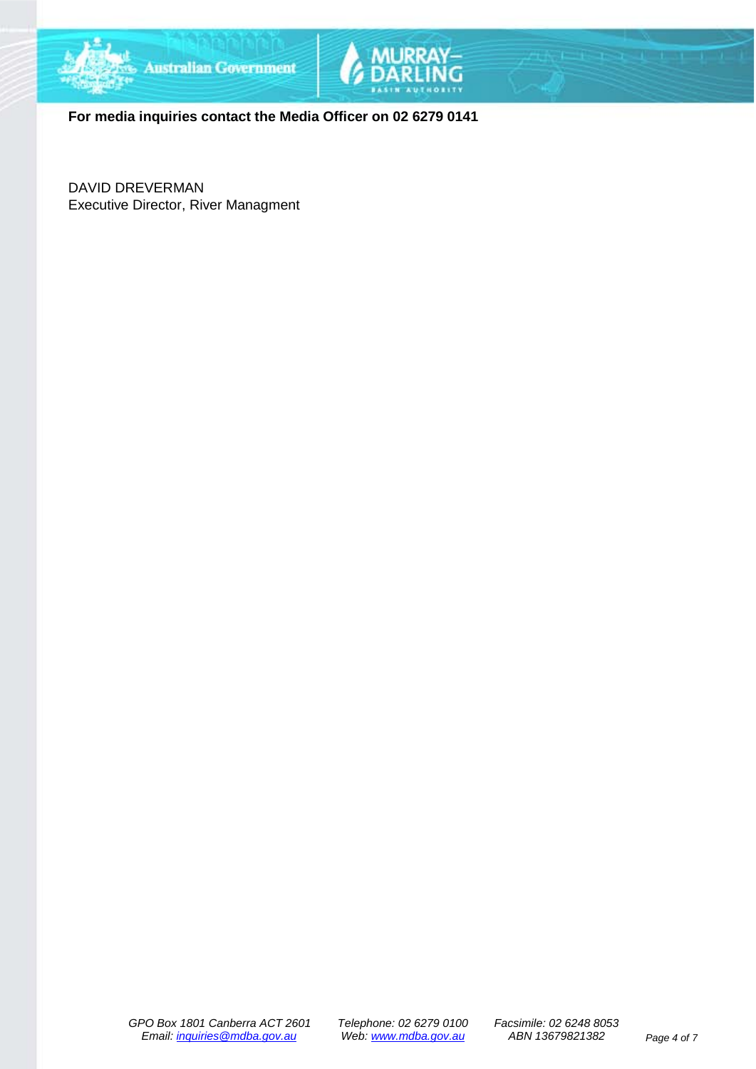



**For media inquiries contact the Media Officer on 02 6279 0141**

DAVID DREVERMAN Executive Director, River Managment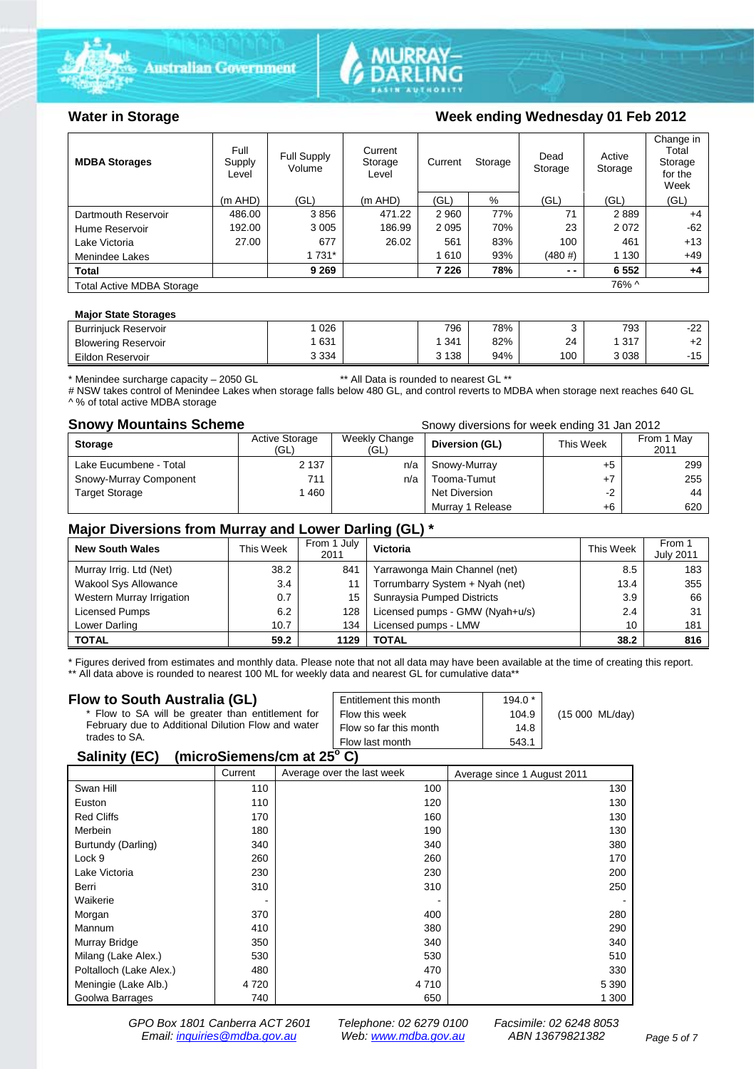





### Water in Storage Week ending Wednesday 01 Feb 2012

| <b>MDBA Storages</b>             | Full<br>Supply<br>Level | Full Supply<br>Volume | Current<br>Storage<br>Level | Current | Storage | Dead<br>Storage | Active<br>Storage | Change in<br>Total<br>Storage<br>for the<br>Week |
|----------------------------------|-------------------------|-----------------------|-----------------------------|---------|---------|-----------------|-------------------|--------------------------------------------------|
|                                  | $(m$ AHD)               | (GL)                  | $(m$ AHD)                   | (GL)    | %       | (GL)            | (GL)              | (GL)                                             |
| Dartmouth Reservoir              | 486.00                  | 3856                  | 471.22                      | 2 9 6 0 | 77%     | 71              | 2889              | $+4$                                             |
| Hume Reservoir                   | 192.00                  | 3 0 0 5               | 186.99                      | 2 0 9 5 | 70%     | 23              | 2072              | $-62$                                            |
| Lake Victoria                    | 27.00                   | 677                   | 26.02                       | 561     | 83%     | 100             | 461               | $+13$                                            |
| Menindee Lakes                   |                         | 1 7 3 1 *             |                             | 1610    | 93%     | (480#)          | 1 1 3 0           | $+49$                                            |
| <b>Total</b>                     |                         | 9 2 6 9               |                             | 7 2 2 6 | 78%     | $ -$            | 6 5 5 2           | $+4$                                             |
| <b>Total Active MDBA Storage</b> |                         |                       |                             |         |         |                 | 76% ^             |                                                  |

#### **Major State Storages**

| <b>Burriniuck Reservoir</b> | 026     | 796     | 78% |     | 793          | $\sim$<br>ے ہے۔  |
|-----------------------------|---------|---------|-----|-----|--------------|------------------|
| <b>Blowering Reservoir</b>  | 631     | 341     | 82% | 24  | 247<br>. ا ب | . L              |
| Eildon<br>ı Reservoir       | 3 3 3 4 | 3 1 3 8 | 94% | 100 | 3038         | AC<br>- 1<br>ں ا |
|                             |         |         |     |     |              |                  |

\* Menindee surcharge capacity – 2050 GL \*\* All Data is rounded to nearest GL \*\*

# NSW takes control of Menindee Lakes when storage falls below 480 GL, and control reverts to MDBA when storage next reaches 640 GL ^ % of total active MDBA storage

**Snowy Mountains Scheme Snowy diversions for week ending 31 Jan 2012** 

| <b>Storage</b>         | <b>Active Storage</b><br>(GL) | Weekly Change<br>(GL) | Diversion (GL)   | This Week | From 1 May<br>2011 |
|------------------------|-------------------------------|-----------------------|------------------|-----------|--------------------|
| Lake Eucumbene - Total | 2 1 3 7                       | n/a                   | Snowy-Murray     | +5        | 299                |
| Snowy-Murray Component | 711                           | n/a                   | Tooma-Tumut      |           | 255                |
| <b>Target Storage</b>  | 1460                          |                       | Net Diversion    | $-2$      | 44                 |
|                        |                               |                       | Murray 1 Release | +6        | 620                |

### **Major Diversions from Murray and Lower Darling (GL) \***

| <b>New South Wales</b>    | This Week | From 1 July<br>2011 | Victoria                        | This Week | From 1<br><b>July 2011</b> |
|---------------------------|-----------|---------------------|---------------------------------|-----------|----------------------------|
| Murray Irrig. Ltd (Net)   | 38.2      | 841                 | Yarrawonga Main Channel (net)   | 8.5       | 183                        |
| Wakool Sys Allowance      | 3.4       |                     | Torrumbarry System + Nyah (net) | 13.4      | 355                        |
| Western Murray Irrigation | 0.7       | 15                  | Sunraysia Pumped Districts      | 3.9       | 66                         |
| Licensed Pumps            | 6.2       | 128                 | Licensed pumps - GMW (Nyah+u/s) | 2.4       | 31                         |
| Lower Darling             | 10.7      | 134                 | Licensed pumps - LMW            | 10        | 181                        |
| <b>TOTAL</b>              | 59.2      | 1129                | TOTAL                           | 38.2      | 816                        |

\* Figures derived from estimates and monthly data. Please note that not all data may have been available at the time of creating this report. \*\* All data above is rounded to nearest 100 ML for weekly data and nearest GL for cumulative data\*\*

#### **Flow to South Australia (GL)**

| Flow to South Australia (GL)<br>* Flow to SA will be greater than entitlement for<br>February due to Additional Dilution Flow and water<br>trades to SA. | Entitlement this month<br>Flow this week<br>Flow so far this month | $194.0*$<br>104.9<br>14.8 | (15 000 ML/day) |  |  |  |
|----------------------------------------------------------------------------------------------------------------------------------------------------------|--------------------------------------------------------------------|---------------------------|-----------------|--|--|--|
|                                                                                                                                                          | Flow last month                                                    | 543.1                     |                 |  |  |  |
| $\frac{1}{2}$<br>$O = 11.14$ . $I = O(1)$                                                                                                                |                                                                    |                           |                 |  |  |  |

#### **Salinity (EC) (microSiemens/cm at 25o C)**

|                         | Current | Average over the last week | Average since 1 August 2011 |
|-------------------------|---------|----------------------------|-----------------------------|
| Swan Hill               | 110     | 100                        | 130                         |
| Euston                  | 110     | 120                        | 130                         |
| <b>Red Cliffs</b>       | 170     | 160                        | 130                         |
| Merbein                 | 180     | 190                        | 130                         |
| Burtundy (Darling)      | 340     | 340                        | 380                         |
| Lock 9                  | 260     | 260                        | 170                         |
| Lake Victoria           | 230     | 230                        | 200                         |
| Berri                   | 310     | 310                        | 250                         |
| Waikerie                | ٠       |                            |                             |
| Morgan                  | 370     | 400                        | 280                         |
| Mannum                  | 410     | 380                        | 290                         |
| Murray Bridge           | 350     | 340                        | 340                         |
| Milang (Lake Alex.)     | 530     | 530                        | 510                         |
| Poltalloch (Lake Alex.) | 480     | 470                        | 330                         |
| Meningie (Lake Alb.)    | 4 7 2 0 | 4 7 1 0                    | 5 3 9 0                     |
| Goolwa Barrages         | 740     | 650                        | 1 300                       |

*GPO Box 1801 Canberra ACT 2601 Telephone: 02 6279 0100 Facsimile: 02 6248 8053 Email: [inquiries@mdba.gov.au](mailto:inquiries@mdba.gov.au) Web: [www.mdba.gov.au](http://www.mdba.gov.au/) ABN 13679821382 Page 5 of 7*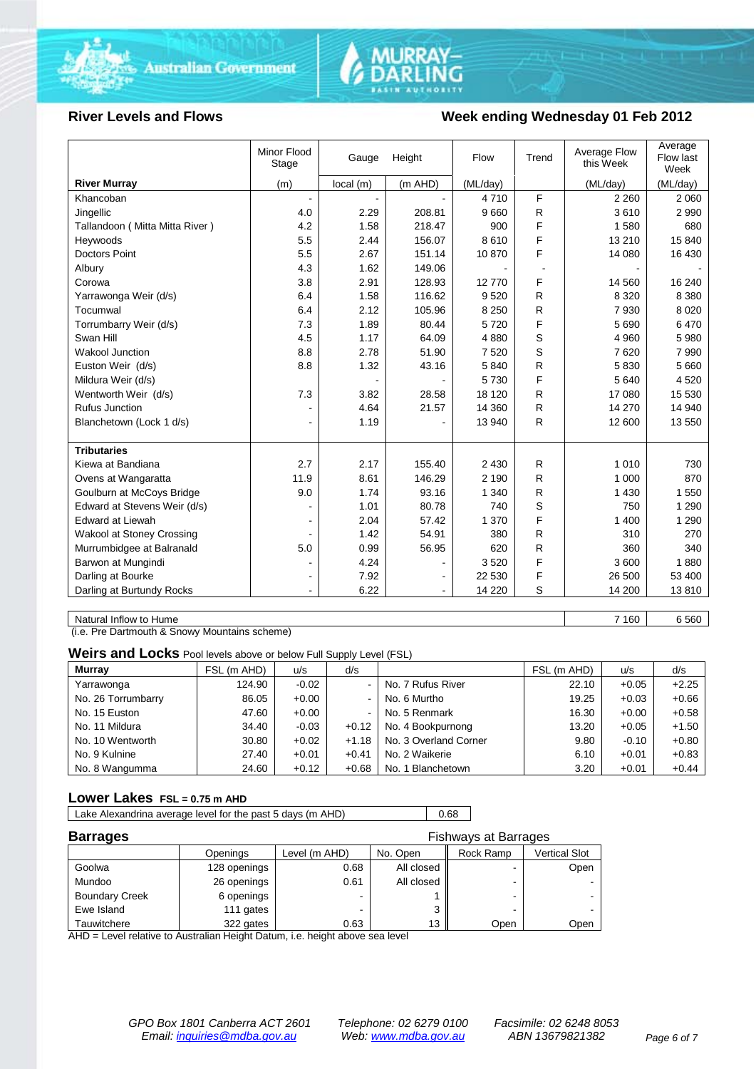



#### **River Levels and Flows Week ending Wednesday 01 Feb 2012**

|                                | Minor Flood<br>Stage | Gauge    | Height    | Flow     | Trend | Average Flow<br>this Week | Average<br>Flow last<br>Week |
|--------------------------------|----------------------|----------|-----------|----------|-------|---------------------------|------------------------------|
| <b>River Murray</b>            | (m)                  | local(m) | $(m$ AHD) | (ML/day) |       | (ML/day)                  | (ML/day)                     |
| Khancoban                      | $\blacksquare$       |          |           | 4710     | F     | 2 2 6 0                   | 2 0 6 0                      |
| Jingellic                      | 4.0                  | 2.29     | 208.81    | 9660     | R     | 3610                      | 2 9 9 0                      |
| Tallandoon (Mitta Mitta River) | 4.2                  | 1.58     | 218.47    | 900      | F     | 1580                      | 680                          |
| Heywoods                       | 5.5                  | 2.44     | 156.07    | 8610     | F     | 13 210                    | 15 840                       |
| <b>Doctors Point</b>           | 5.5                  | 2.67     | 151.14    | 10870    | F     | 14 080                    | 16 430                       |
| Albury                         | 4.3                  | 1.62     | 149.06    |          |       |                           |                              |
| Corowa                         | 3.8                  | 2.91     | 128.93    | 12770    | F     | 14 560                    | 16 240                       |
| Yarrawonga Weir (d/s)          | 6.4                  | 1.58     | 116.62    | 9520     | R     | 8 3 2 0                   | 8 3 8 0                      |
| Tocumwal                       | 6.4                  | 2.12     | 105.96    | 8 2 5 0  | R     | 7930                      | 8 0 2 0                      |
| Torrumbarry Weir (d/s)         | 7.3                  | 1.89     | 80.44     | 5720     | F     | 5690                      | 6470                         |
| Swan Hill                      | 4.5                  | 1.17     | 64.09     | 4880     | S     | 4 9 6 0                   | 5 9 8 0                      |
| <b>Wakool Junction</b>         | 8.8                  | 2.78     | 51.90     | 7520     | S     | 7620                      | 7 9 9 0                      |
| Euston Weir (d/s)              | 8.8                  | 1.32     | 43.16     | 5840     | R     | 5830                      | 5 6 6 0                      |
| Mildura Weir (d/s)             |                      |          |           | 5730     | F     | 5 6 4 0                   | 4 5 20                       |
| Wentworth Weir (d/s)           | 7.3                  | 3.82     | 28.58     | 18 120   | R     | 17 080                    | 15 530                       |
| <b>Rufus Junction</b>          |                      | 4.64     | 21.57     | 14 360   | R     | 14 270                    | 14 940                       |
| Blanchetown (Lock 1 d/s)       | $\blacksquare$       | 1.19     |           | 13 940   | R     | 12 600                    | 13 550                       |
|                                |                      |          |           |          |       |                           |                              |
| <b>Tributaries</b>             |                      |          |           |          |       |                           |                              |
| Kiewa at Bandiana              | 2.7                  | 2.17     | 155.40    | 2 4 3 0  | R     | 1 0 1 0                   | 730                          |
| Ovens at Wangaratta            | 11.9                 | 8.61     | 146.29    | 2 1 9 0  | R     | 1 000                     | 870                          |
| Goulburn at McCoys Bridge      | 9.0                  | 1.74     | 93.16     | 1 3 4 0  | R     | 1 4 3 0                   | 1 550                        |
| Edward at Stevens Weir (d/s)   |                      | 1.01     | 80.78     | 740      | S     | 750                       | 1 2 9 0                      |
| <b>Edward at Liewah</b>        |                      | 2.04     | 57.42     | 1 370    | F     | 1 400                     | 1 2 9 0                      |
| Wakool at Stoney Crossing      | $\sim$               | 1.42     | 54.91     | 380      | R     | 310                       | 270                          |
| Murrumbidgee at Balranald      | 5.0                  | 0.99     | 56.95     | 620      | R     | 360                       | 340                          |
| Barwon at Mungindi             | $\blacksquare$       | 4.24     |           | 3520     | F     | 3600                      | 1880                         |
| Darling at Bourke              | ٠                    | 7.92     |           | 22 530   | F     | 26 500                    | 53 400                       |
| Darling at Burtundy Rocks      |                      | 6.22     |           | 14 2 20  | S     | 14 200                    | 13810                        |

Natural Inflow to Hume 6 560

(i.e. Pre Dartmouth & Snowy Mountains scheme)

**Weirs and Locks** Pool levels above or below Full Supply Level (FSL)

| <b>Murray</b>      | FSL (m AHD) | u/s     | d/s            |                       | FSL (m AHD) | u/s     | d/s     |
|--------------------|-------------|---------|----------------|-----------------------|-------------|---------|---------|
| Yarrawonga         | 124.90      | $-0.02$ | $\blacksquare$ | No. 7 Rufus River     | 22.10       | $+0.05$ | $+2.25$ |
| No. 26 Torrumbarry | 86.05       | $+0.00$ | $\sim$         | No. 6 Murtho          | 19.25       | $+0.03$ | $+0.66$ |
| No. 15 Euston      | 47.60       | $+0.00$ | $\blacksquare$ | No. 5 Renmark         | 16.30       | $+0.00$ | $+0.58$ |
| No. 11 Mildura     | 34.40       | $-0.03$ | $+0.12$        | No. 4 Bookpurnong     | 13.20       | $+0.05$ | $+1.50$ |
| No. 10 Wentworth   | 30.80       | $+0.02$ | $+1.18$        | No. 3 Overland Corner | 9.80        | $-0.10$ | $+0.80$ |
| No. 9 Kulnine      | 27.40       | $+0.01$ | $+0.41$        | No. 2 Waikerie        | 6.10        | $+0.01$ | $+0.83$ |
| No. 8 Wangumma     | 24.60       | $+0.12$ | $+0.68$        | No. 1 Blanchetown     | 3.20        | $+0.01$ | $+0.44$ |

#### **Lower Lakes FSL = 0.75 m AHD**

Lake Alexandrina average level for the past 5 days (m AHD) 0.68

| <b>Barrages</b>       | <b>Fishways at Barrages</b> |               |            |                          |               |
|-----------------------|-----------------------------|---------------|------------|--------------------------|---------------|
|                       | Openings                    | Level (m AHD) | No. Open   | Rock Ramp                | Vertical Slot |
| Goolwa                | 128 openings                | 0.68          | All closed | $\blacksquare$           | Open          |
| Mundoo                | 26 openings                 | 0.61          | All closed |                          |               |
| <b>Boundary Creek</b> | 6 openings                  | -             |            | $\overline{\phantom{0}}$ |               |
| Ewe Island            | 111 gates                   |               |            |                          |               |
| Tauwitchere           | 322 gates                   | 0.63          | 13         | Open                     | Open          |

AHD = Level relative to Australian Height Datum, i.e. height above sea level